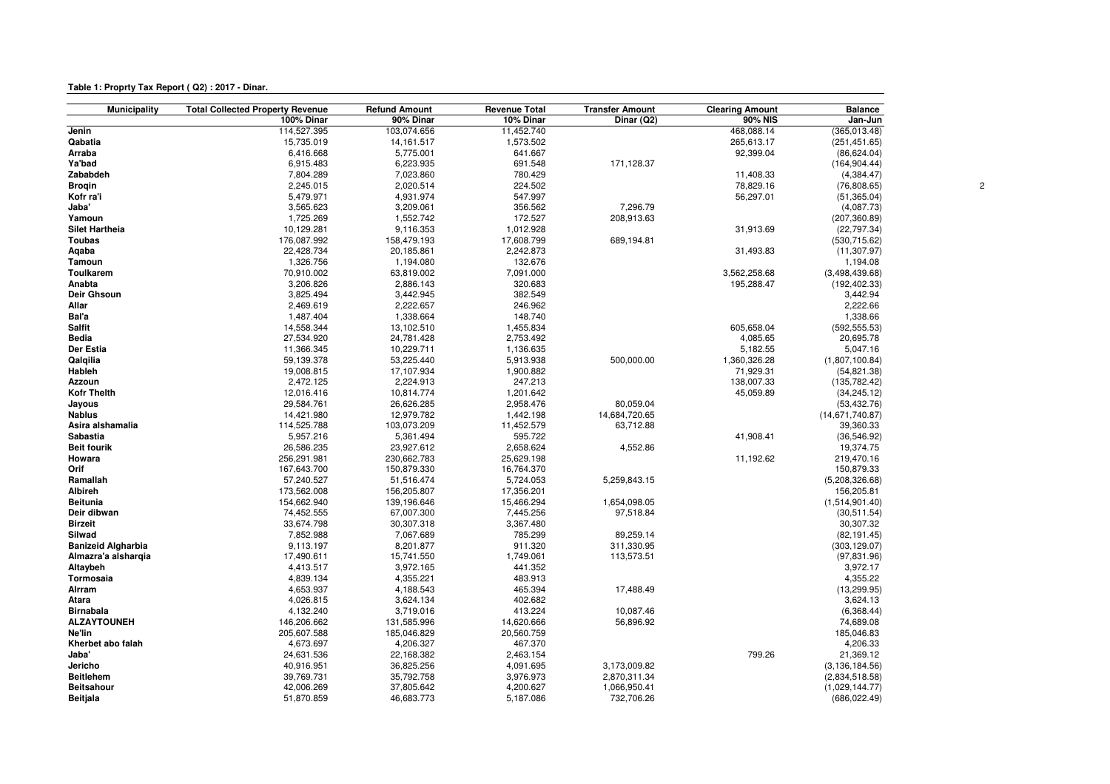| Table 1: Proprty Tax Report (Q2): 2017 - Dinar. |  |  |
|-------------------------------------------------|--|--|
|-------------------------------------------------|--|--|

| <b>Municipality</b>       | <b>Total Collected Property Revenue</b> | <b>Refund Amount</b> | <b>Revenue Total</b> | <b>Transfer Amount</b> | <b>Clearing Amount</b> | <b>Balance</b>   |  |
|---------------------------|-----------------------------------------|----------------------|----------------------|------------------------|------------------------|------------------|--|
|                           | 100% Dinar                              | 90% Dinar            | 10% Dinar            | Dinar (Q2)             | 90% NIS                | Jan-Jun          |  |
| Jenin                     | 114,527.395                             | 103,074.656          | 11,452.740           |                        | 468,088.14             | (365,013.48)     |  |
| Qabatia                   | 15,735.019                              | 14, 161. 517         | 1,573.502            |                        | 265,613.17             | (251, 451.65)    |  |
| Arraba                    | 6,416.668                               | 5,775.001            | 641.667              |                        | 92,399.04              | (86, 624.04)     |  |
| Ya'bad                    | 6,915.483                               | 6,223.935            | 691.548              | 171,128.37             |                        | (164, 904.44)    |  |
| Zababdeh                  | 7,804.289                               | 7,023.860            | 780.429              |                        | 11,408.33              | (4,384.47)       |  |
| <b>Brogin</b>             | 2,245.015                               | 2,020.514            | 224.502              |                        | 78,829.16              | (76,808.65)      |  |
| Kofr ra'i                 | 5,479.971                               | 4,931.974            | 547.997              |                        | 56,297.01              | (51, 365.04)     |  |
| Jaba'                     | 3,565.623                               | 3,209.061            | 356.562              | 7,296.79               |                        | (4,087.73)       |  |
| Yamoun                    | 1,725.269                               | 1,552.742            | 172.527              | 208,913.63             |                        | (207, 360.89)    |  |
| <b>Silet Hartheia</b>     | 10,129.281                              | 9,116.353            | 1,012.928            |                        | 31,913.69              | (22, 797.34)     |  |
| <b>Toubas</b>             | 176,087.992                             | 158,479.193          | 17,608.799           | 689,194.81             |                        | (530, 715.62)    |  |
| Aqaba                     | 22,428.734                              | 20,185.861           | 2,242.873            |                        | 31,493.83              | (11, 307.97)     |  |
| Tamoun                    | 1,326.756                               | 1,194.080            | 132.676              |                        |                        | 1,194.08         |  |
| Toulkarem                 | 70,910.002                              | 63,819.002           | 7,091.000            |                        | 3,562,258.68           | (3,498,439.68)   |  |
| Anabta                    | 3,206.826                               | 2,886.143            | 320.683              |                        | 195,288.47             | (192, 402.33)    |  |
| Deir Ghsoun               | 3,825.494                               | 3,442.945            | 382.549              |                        |                        | 3,442.94         |  |
| Allar                     | 2,469.619                               | 2,222.657            | 246.962              |                        |                        | 2,222.66         |  |
| Bal'a                     | 1,487.404                               | 1,338.664            | 148.740              |                        |                        | 1,338.66         |  |
| Salfit                    | 14,558.344                              | 13,102.510           | 1,455.834            |                        | 605,658.04             | (592, 555.53)    |  |
| <b>Bedia</b>              | 27,534.920                              | 24,781.428           | 2,753.492            |                        | 4,085.65               | 20,695.78        |  |
| Der Estia                 | 11,366.345                              | 10,229.711           | 1,136.635            |                        | 5,182.55               | 5,047.16         |  |
| Qalqilia                  | 59,139.378                              | 53,225.440           | 5,913.938            | 500,000.00             | 1,360,326.28           | (1,807,100.84)   |  |
| Hableh                    | 19,008.815                              | 17,107.934           | 1,900.882            |                        | 71,929.31              | (54, 821.38)     |  |
| Azzoun                    | 2,472.125                               | 2,224.913            | 247.213              |                        | 138,007.33             | (135, 782.42)    |  |
| <b>Kofr Thelth</b>        | 12,016.416                              | 10,814.774           | 1,201.642            |                        | 45,059.89              | (34, 245.12)     |  |
| Jayous                    | 29,584.761                              | 26,626.285           | 2,958.476            | 80,059.04              |                        | (53, 432.76)     |  |
| <b>Nablus</b>             | 14,421.980                              | 12,979.782           | 1,442.198            | 14,684,720.65          |                        | (14,671,740.87)  |  |
| Asira alshamalia          | 114,525.788                             | 103,073.209          | 11,452.579           | 63,712.88              |                        | 39,360.33        |  |
| Sabastia                  | 5,957.216                               | 5,361.494            | 595.722              |                        | 41,908.41              | (36, 546.92)     |  |
|                           |                                         |                      |                      |                        |                        |                  |  |
| <b>Beit fourik</b>        | 26,586.235                              | 23,927.612           | 2,658.624            | 4,552.86               |                        | 19,374.75        |  |
| Howara                    | 256,291.981                             | 230,662.783          | 25,629.198           |                        | 11,192.62              | 219,470.16       |  |
| Orif                      | 167,643.700                             | 150,879.330          | 16,764.370           |                        |                        | 150,879.33       |  |
| Ramallah                  | 57,240.527                              | 51,516.474           | 5,724.053            | 5,259,843.15           |                        | (5,208,326.68)   |  |
| Albireh                   | 173,562.008                             | 156,205.807          | 17,356.201           |                        |                        | 156,205.81       |  |
| <b>Beitunia</b>           | 154,662.940                             | 139,196.646          | 15,466.294           | 1,654,098.05           |                        | (1,514,901.40)   |  |
| Deir dibwan               | 74,452.555                              | 67,007.300           | 7,445.256            | 97,518.84              |                        | (30, 511.54)     |  |
| <b>Birzeit</b>            | 33,674.798                              | 30,307.318           | 3,367.480            |                        |                        | 30,307.32        |  |
| Silwad                    | 7,852.988                               | 7,067.689            | 785.299              | 89,259.14              |                        | (82, 191.45)     |  |
| <b>Banizeid Algharbia</b> | 9,113.197                               | 8,201.877            | 911.320              | 311,330.95             |                        | (303, 129.07)    |  |
| Almazra'a alshargia       | 17,490.611                              | 15,741.550           | 1,749.061            | 113,573.51             |                        | (97, 831.96)     |  |
| Altaybeh                  | 4,413.517                               | 3,972.165            | 441.352              |                        |                        | 3,972.17         |  |
| Tormosaia                 | 4,839.134                               | 4,355.221            | 483.913              |                        |                        | 4,355.22         |  |
| Alrram                    | 4,653.937                               | 4,188.543            | 465.394              | 17,488.49              |                        | (13, 299.95)     |  |
| Atara                     | 4,026.815                               | 3,624.134            | 402.682              |                        |                        | 3,624.13         |  |
| <b>Birnabala</b>          | 4,132.240                               | 3,719.016            | 413.224              | 10,087.46              |                        | (6,368.44)       |  |
| <b>ALZAYTOUNEH</b>        | 146,206.662                             | 131,585.996          | 14,620.666           | 56,896.92              |                        | 74,689.08        |  |
| Ne'lin                    | 205,607.588                             | 185,046.829          | 20,560.759           |                        |                        | 185,046.83       |  |
| Kherbet abo falah         | 4,673.697                               | 4,206.327            | 467.370              |                        |                        | 4,206.33         |  |
| Jaba'                     | 24,631.536                              | 22,168.382           | 2,463.154            |                        | 799.26                 | 21,369.12        |  |
| Jericho                   | 40,916.951                              | 36,825.256           | 4,091.695            | 3,173,009.82           |                        | (3, 136, 184.56) |  |
| <b>Beitlehem</b>          | 39,769.731                              | 35,792.758           | 3,976.973            | 2,870,311.34           |                        | (2,834,518.58)   |  |
| <b>Beitsahour</b>         | 42,006.269                              | 37,805.642           | 4,200.627            | 1,066,950.41           |                        | (1,029,144.77)   |  |
| Beitjala                  | 51,870.859                              | 46,683.773           | 5,187.086            | 732,706.26             |                        | (686, 022.49)    |  |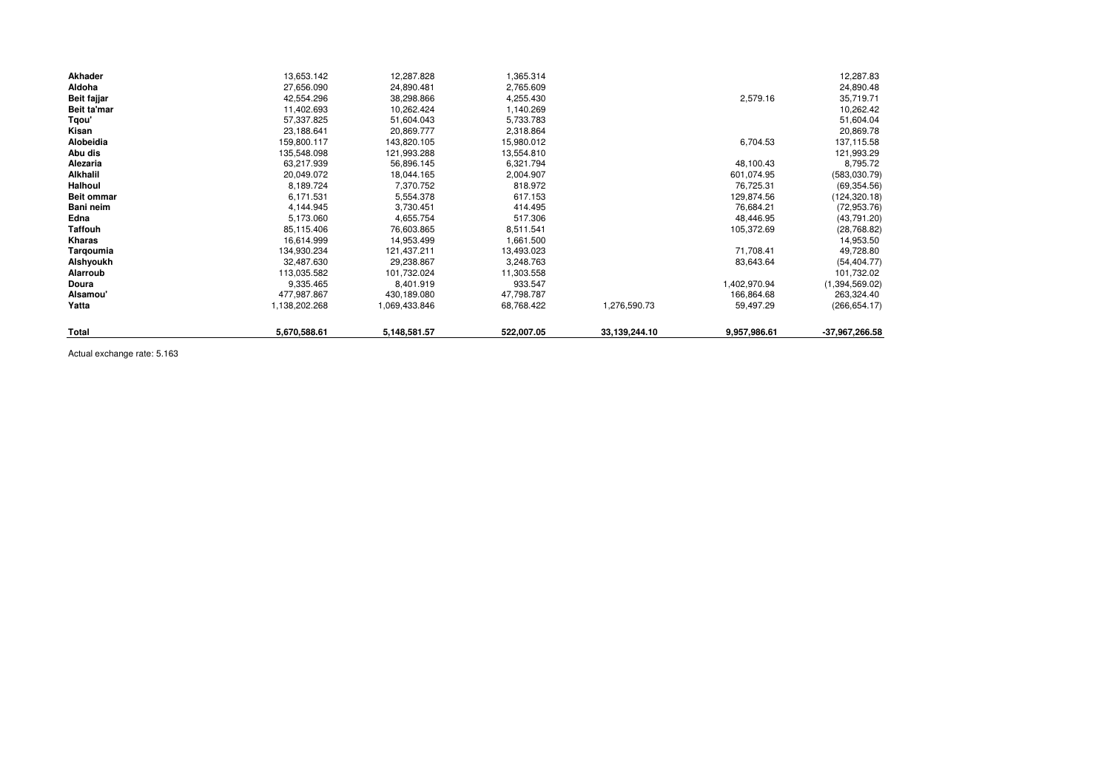| Akhader           | 13,653.142    | 12,287.828    | 1,365.314  |               |              | 12,287.83        |
|-------------------|---------------|---------------|------------|---------------|--------------|------------------|
| Aldoha            | 27,656.090    | 24,890.481    | 2,765.609  |               |              | 24,890.48        |
| Beit fajjar       | 42,554.296    | 38,298.866    | 4,255.430  |               | 2,579.16     | 35,719.71        |
| Beit ta'mar       | 11,402.693    | 10,262.424    | 1,140.269  |               |              | 10,262.42        |
| Tgou'             | 57,337.825    | 51,604.043    | 5,733.783  |               |              | 51,604.04        |
| Kisan             | 23,188.641    | 20,869.777    | 2,318.864  |               |              | 20,869.78        |
| Alobeidia         | 159,800.117   | 143,820.105   | 15,980.012 |               | 6,704.53     | 137,115.58       |
| Abu dis           | 135,548.098   | 121,993.288   | 13,554.810 |               |              | 121,993.29       |
| Alezaria          | 63,217.939    | 56,896.145    | 6,321.794  |               | 48,100.43    | 8,795.72         |
| Alkhalil          | 20,049.072    | 18,044.165    | 2,004.907  |               | 601,074.95   | (583,030.79)     |
| Halhoul           | 8,189.724     | 7,370.752     | 818.972    |               | 76,725.31    | (69, 354.56)     |
| <b>Beit ommar</b> | 6,171.531     | 5,554.378     | 617.153    |               | 129,874.56   | (124, 320.18)    |
| Bani neim         | 4,144.945     | 3,730.451     | 414.495    |               | 76,684.21    | (72, 953.76)     |
| Edna              | 5,173.060     | 4,655.754     | 517.306    |               | 48,446.95    | (43,791.20)      |
| <b>Taffouh</b>    | 85,115.406    | 76,603.865    | 8,511.541  |               | 105,372.69   | (28, 768.82)     |
| Kharas            | 16,614.999    | 14,953.499    | 1,661.500  |               |              | 14,953.50        |
| Tarqoumia         | 134,930.234   | 121,437.211   | 13,493.023 |               | 71,708.41    | 49,728.80        |
| Alshyoukh         | 32,487.630    | 29,238.867    | 3,248.763  |               | 83,643.64    | (54, 404.77)     |
| Alarroub          | 113,035.582   | 101,732.024   | 11,303.558 |               |              | 101,732.02       |
| Doura             | 9,335.465     | 8,401.919     | 933.547    |               | 1,402,970.94 | (1,394,569.02)   |
| Alsamou'          | 477,987.867   | 430,189.080   | 47,798.787 |               | 166,864.68   | 263,324.40       |
| Yatta             | 1,138,202.268 | 1,069,433.846 | 68,768.422 | 1,276,590.73  | 59,497.29    | (266, 654.17)    |
| Total             | 5,670,588.61  | 5,148,581.57  | 522,007.05 | 33,139,244.10 | 9,957,986.61 | $-37,967,266.58$ |

Actual exchange rate: 5.163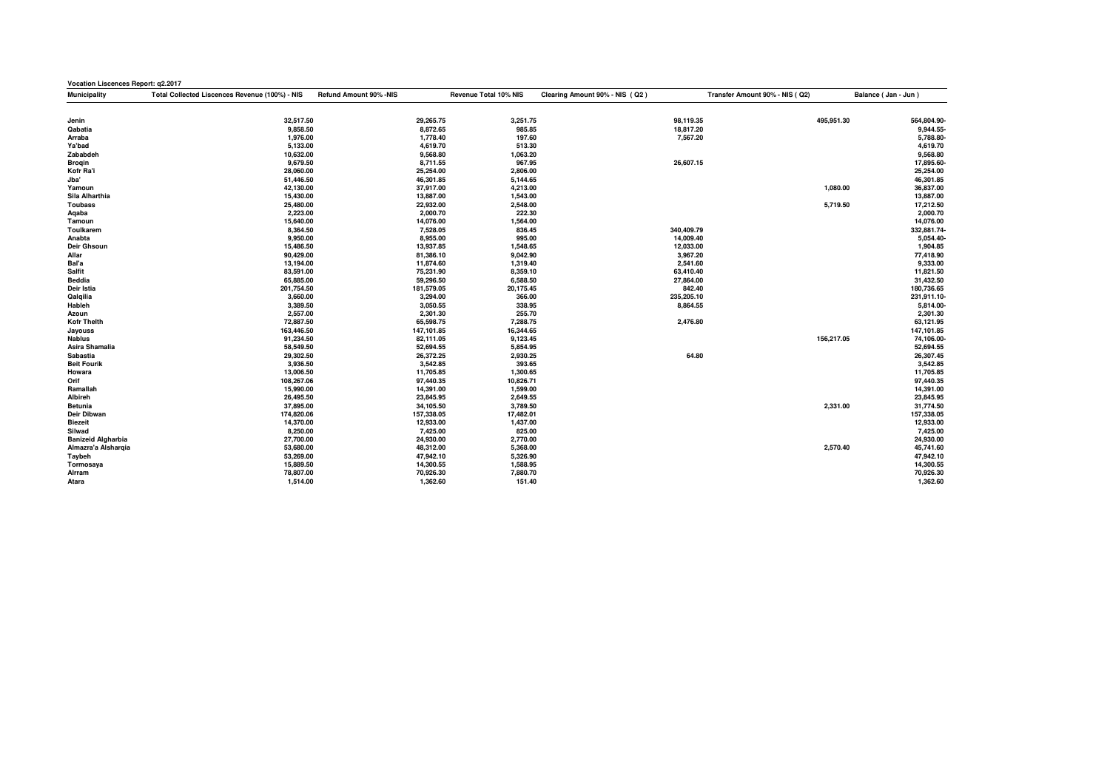| Vocation Liscences Report: q2.2017 |                                                |                        |                       |                                |                                |                     |  |
|------------------------------------|------------------------------------------------|------------------------|-----------------------|--------------------------------|--------------------------------|---------------------|--|
| Municipality                       | Total Collected Liscences Revenue (100%) - NIS | Refund Amount 90% -NIS | Revenue Total 10% NIS | Clearing Amount 90% - NIS (Q2) | Transfer Amount 90% - NIS (Q2) | Balance (Jan - Jun) |  |
|                                    |                                                |                        |                       |                                |                                |                     |  |
| Jenin                              | 32,517.50                                      | 29,265.75              | 3,251.75              | 98,119.35                      | 495,951.30                     | 564,804.90-         |  |
| Qabatia                            | 9,858.50                                       | 8,872.65               | 985.85                | 18,817.20                      |                                | 9,944.55-           |  |
| Arraba                             | 1,976.00                                       | 1,778.40               | 197.60                | 7,567.20                       |                                | 5,788.80-           |  |
| Ya'bad                             | 5,133.00                                       | 4,619.70               | 513.30                |                                |                                | 4,619.70            |  |
| Zababdeh                           | 10,632.00                                      | 9,568.80               | 1,063.20              |                                |                                | 9,568.80            |  |
| <b>Brogin</b>                      | 9,679.50                                       | 8,711.55               | 967.95                | 26,607.15                      |                                | 17,895.60-          |  |
| Kofr Ra'i                          | 28,060.00                                      | 25,254.00              | 2,806.00              |                                |                                | 25,254.00           |  |
| Jba'                               | 51,446.50                                      | 46,301.85              | 5,144.65              |                                |                                | 46,301.85           |  |
| Yamoun                             | 42,130.00                                      | 37,917.00              | 4,213.00              |                                | 1,080.00                       | 36,837.00           |  |
| Sila Alharthia                     | 15,430.00                                      | 13,887.00              | 1,543.00              |                                |                                | 13,887.00           |  |
| <b>Toubass</b>                     | 25,480.00                                      | 22,932.00              | 2,548.00              |                                | 5,719.50                       | 17,212.50           |  |
| Aqaba                              | 2,223.00                                       | 2,000.70               | 222.30                |                                |                                | 2,000.70            |  |
| Tamoun                             | 15,640.00                                      | 14,076.00              | 1,564.00              |                                |                                | 14,076.00           |  |
| Toulkarem                          | 8,364.50                                       | 7,528.05               | 836.45                | 340,409.79                     |                                | 332,881.74-         |  |
| Anabta                             | 9,950.00                                       | 8,955.00               | 995.00                | 14,009.40                      |                                | 5,054.40-           |  |
| Deir Ghsoun                        | 15,486.50                                      | 13,937.85              | 1,548.65              | 12,033.00                      |                                | 1,904.85            |  |
| Allar                              | 90,429.00                                      | 81,386.10              | 9,042.90              | 3,967.20                       |                                | 77,418.90           |  |
| Bal'a                              | 13,194.00                                      | 11,874.60              | 1,319.40              | 2,541.60                       |                                | 9,333.00            |  |
| Salfit                             | 83,591.00                                      | 75,231.90              | 8,359.10              | 63,410.40                      |                                | 11,821.50           |  |
| Beddia                             | 65,885.00                                      | 59,296.50              | 6,588.50              | 27,864.00                      |                                | 31,432.50           |  |
| Deir Istia                         | 201,754.50                                     | 181,579.05             | 20,175.45             | 842.40                         |                                | 180,736.65          |  |
| Qalqilia                           | 3,660.00                                       | 3,294.00               | 366.00                | 235,205.10                     |                                | 231,911.10-         |  |
| Hableh                             | 3,389.50                                       | 3,050.55               | 338.95                | 8,864.55                       |                                | 5,814.00-           |  |
| Azoun                              | 2,557.00                                       | 2,301.30               | 255.70                |                                |                                | 2,301.30            |  |
| <b>Kofr Thelth</b>                 | 72,887.50                                      | 65,598.75              | 7,288.75              | 2,476.80                       |                                | 63,121.95           |  |
| Jayouss                            | 163,446.50                                     | 147,101.85             | 16,344.65             |                                |                                | 147,101.85          |  |
| <b>Nablus</b>                      | 91,234.50                                      | 82,111.05              | 9,123.45              |                                | 156,217.05                     | 74,106.00-          |  |
| Asira Shamalia                     | 58,549.50                                      | 52,694.55              | 5,854.95              |                                |                                | 52,694.55           |  |
| Sabastia                           | 29,302.50                                      | 26,372.25              | 2,930.25              | 64.80                          |                                | 26,307.45           |  |
| <b>Beit Fourik</b>                 | 3,936.50                                       | 3,542.85               | 393.65                |                                |                                | 3,542.85            |  |
| Howara                             | 13,006.50                                      | 11,705.85              | 1,300.65              |                                |                                | 11,705.85           |  |
| Orif                               | 108,267.06                                     | 97,440.35              | 10,826.71             |                                |                                | 97,440.35           |  |
| Ramallah                           | 15,990.00                                      | 14,391.00              | 1,599.00              |                                |                                | 14,391.00           |  |
| Albireh                            | 26,495.50                                      | 23,845.95              | 2,649.55              |                                |                                | 23,845.95           |  |
| Betunia                            | 37,895.00                                      | 34,105.50              | 3,789.50              |                                | 2,331.00                       | 31,774.50           |  |
| Deir Dibwan                        | 174,820.06                                     | 157,338.05             | 17,482.01             |                                |                                | 157,338.05          |  |
| <b>Biezeit</b>                     | 14,370.00                                      | 12,933.00              | 1,437.00              |                                |                                | 12,933.00           |  |
| Silwad                             | 8,250.00                                       | 7,425.00               | 825.00                |                                |                                | 7,425.00            |  |
| <b>Banizeid Algharbia</b>          | 27,700.00                                      | 24,930.00              | 2,770.00              |                                |                                | 24,930.00           |  |
| Almazra'a Alsharqia                | 53,680.00                                      | 48,312.00              | 5,368.00              |                                | 2,570.40                       | 45,741.60           |  |
| Taybeh                             | 53,269.00                                      | 47,942.10              | 5,326.90              |                                |                                | 47,942.10           |  |
| Tormosaya                          | 15,889.50                                      | 14,300.55              | 1,588.95              |                                |                                | 14,300.55           |  |
| Alrram                             | 78,807.00                                      | 70,926.30              | 7,880.70              |                                |                                | 70,926.30           |  |
| Atara                              | 1,514.00                                       | 1,362.60               | 151.40                |                                |                                | 1,362.60            |  |